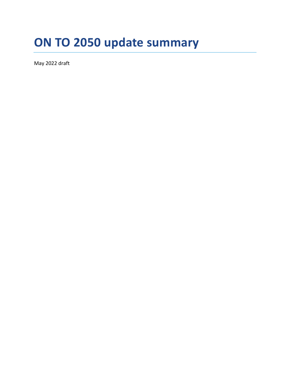# **ON TO 2050 update summary**

May 2022 draft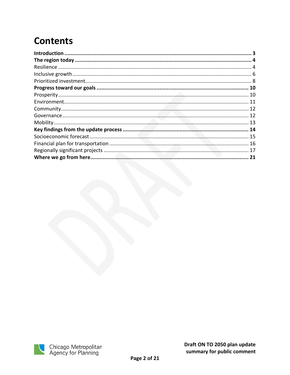# **Contents**

| 21 |
|----|

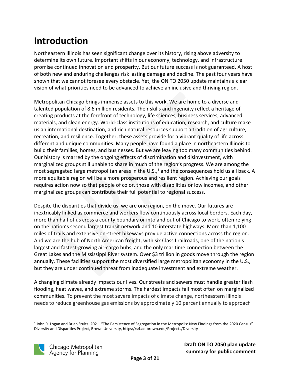# <span id="page-2-0"></span>**Introduction**

Northeastern Illinois has seen significant change over its history, rising above adversity to determine its own future. Important shifts in our economy, technology, and infrastructure promise continued innovation and prosperity. But our future success is not guaranteed. A host of both new and enduring challenges risk lasting damage and decline. The past four years have shown that we cannot foresee every obstacle. Yet, the ON TO 2050 update maintains a clear vision of what priorities need to be advanced to achieve an inclusive and thriving region.

Metropolitan Chicago brings immense assets to this work. We are home to a diverse and talented population of 8.6 million residents. Their skills and ingenuity reflect a heritage of creating products at the forefront of technology, life sciences, business services, advanced materials, and clean energy. World-class institutions of education, research, and culture make us an international destination, and rich natural resources support a tradition of agriculture, recreation, and resilience. Together, these assets provide for a vibrant quality of life across different and unique communities. Many people have found a place in northeastern Illinois to build their families, homes, and businesses. But we are leaving too many communities behind. Our history is marred by the ongoing effects of discrimination and disinvestment, with marginalized groups still unable to share in much of the region's progress. We are among the most segregated large metropolitan areas in the  $U.S.,<sup>1</sup>$  and the consequences hold us all back. A more equitable region will be a more prosperous and resilient region. Achieving our goals requires action now so that people of color, those with disabilities or low incomes, and other marginalized groups can contribute their full potential to regional success.

Despite the disparities that divide us, we are one region, on the move. Our futures are inextricably linked as commerce and workers flow continuously across local borders. Each day, more than half of us cross a county boundary or into and out of Chicago to work, often relying on the nation's second largest transit network and 10 interstate highways. More than 1,100 miles of trails and extensive on-street bikeways provide active connections across the region. And we are the hub of North American freight, with six Class I railroads, one of the nation's largest and fastest-growing air-cargo hubs, and the only maritime connection between the Great Lakes and the Mississippi River system. Over \$3 trillion in goods move through the region annually. These facilities support the most diversified large metropolitan economy in the U.S., but they are under continued threat from inadequate investment and extreme weather.

A changing climate already impacts our lives. Our streets and sewers must handle greater flash flooding, heat waves, and extreme storms. The hardest impacts fall most often on marginalized communities. To prevent the most severe impacts of climate change, northeastern Illinois needs to reduce greenhouse gas emissions by approximately 10 percent annually to approach

<sup>1</sup> John R. Logan and Brian Stults. 2021. "The Persistence of Segregation in the Metropolis: New Findings from the 2020 Census" Diversity and Disparities Project, Brown University, https://s4.ad.brown.edu/Projects/Diversity

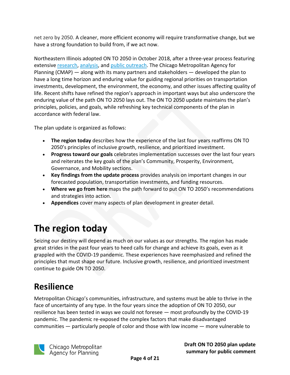net zero by 2050. A cleaner, more efficient economy will require transformative change, but we have a strong foundation to build from, if we act now.

Northeastern Illinois adopted ON TO 2050 in October 2018, after a three-year process featuring extensive [research,](https://www.cmap.illinois.gov/2050/development) [analysis,](https://www.cmap.illinois.gov/2050/appendices) and public [outreach.](https://www.cmap.illinois.gov/2050/public-engagement) The Chicago Metropolitan Agency for Planning (CMAP) — along with its many partners and stakeholders — developed the plan to have a long time horizon and enduring value for guiding regional priorities on transportation investments, development, the environment, the economy, and other issues affecting quality of life. Recent shifts have refined the region's approach in important ways but also underscore the enduring value of the path ON TO 2050 lays out. The ON TO 2050 update maintains the plan's principles, policies, and goals, while refreshing key technical components of the plan in accordance with federal law.

The plan update is organized as follows:

- **The region today** describes how the experience of the last four years reaffirms ON TO 2050's principles of inclusive growth, resilience, and prioritized investment.
- **Progress toward our goals** celebrates implementation successes over the last four years and reiterates the key goals of the plan's Community, Prosperity, Environment, Governance, and Mobility sections.
- **Key findings from the update process** provides analysis on important changes in our forecasted population, transportation investments, and funding resources.
- **Where we go from here** maps the path forward to put ON TO 2050's recommendations and strategies into action.
- **Appendices** cover many aspects of plan development in greater detail.

# <span id="page-3-0"></span>**The region today**

Seizing our destiny will depend as much on our values as our strengths. The region has made great strides in the past four years to heed calls for change and achieve its goals, even as it grappled with the COVID-19 pandemic. These experiences have reemphasized and refined the principles that must shape our future. Inclusive growth, resilience, and prioritized investment continue to guide ON TO 2050.

#### <span id="page-3-1"></span>**Resilience**

Metropolitan Chicago's communities, infrastructure, and systems must be able to thrive in the face of uncertainty of any type. In the four years since the adoption of ON TO 2050, our resilience has been tested in ways we could not foresee — most profoundly by the COVID-19 pandemic. The pandemic re-exposed the complex factors that make disadvantaged communities — particularly people of color and those with low income — more vulnerable to

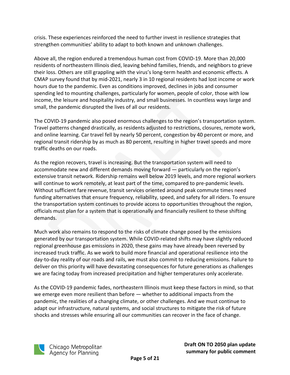crisis. These experiences reinforced the need to further invest in resilience strategies that strengthen communities' ability to adapt to both known and unknown challenges.

Above all, the region endured a tremendous human cost from COVID-19. More than 20,000 residents of northeastern Illinois died, leaving behind families, friends, and neighbors to grieve their loss. Others are still grappling with the virus's long-term health and economic effects. A CMAP survey found that by mid-2021, nearly 3 in 10 regional residents had lost income or work hours due to the pandemic. Even as conditions improved, declines in jobs and consumer spending led to mounting challenges, particularly for women, people of color, those with low income, the leisure and hospitality industry, and small businesses. In countless ways large and small, the pandemic disrupted the lives of all our residents.

The COVID-19 pandemic also posed enormous challenges to the region's transportation system. Travel patterns changed drastically, as residents adjusted to restrictions, closures, remote work, and online learning. Car travel fell by nearly 50 percent, congestion by 40 percent or more, and regional transit ridership by as much as 80 percent, resulting in higher travel speeds and more traffic deaths on our roads.

As the region recovers, travel is increasing. But the transportation system will need to accommodate new and different demands moving forward — particularly on the region's extensive transit network. Ridership remains well below 2019 levels, and more regional workers will continue to work remotely, at least part of the time, compared to pre-pandemic levels. Without sufficient fare revenue, transit services oriented around peak commute times need funding alternatives that ensure frequency, reliability, speed, and safety for all riders. To ensure the transportation system continues to provide access to opportunities throughout the region, officials must plan for a system that is operationally and financially resilient to these shifting demands.

Much work also remains to respond to the risks of climate change posed by the emissions generated by our transportation system. While COVID-related shifts may have slightly reduced regional greenhouse gas emissions in 2020, these gains may have already been reversed by increased truck traffic. As we work to build more financial and operational resilience into the day-to-day reality of our roads and rails, we must also commit to reducing emissions. Failure to deliver on this priority will have devastating consequences for future generations as challenges we are facing today from increased precipitation and higher temperatures only accelerate.

As the COVID-19 pandemic fades, northeastern Illinois must keep these factors in mind, so that we emerge even more resilient than before — whether to additional impacts from the pandemic, the realities of a changing climate, or other challenges. And we must continue to adapt our infrastructure, natural systems, and social structures to mitigate the risk of future shocks and stresses while ensuring all our communities can recover in the face of change.

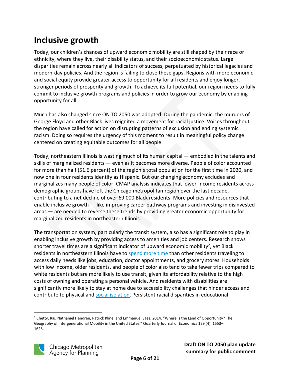# <span id="page-5-0"></span>**Inclusive growth**

Today, our children's chances of upward economic mobility are still shaped by their race or ethnicity, where they live, their disability status, and their socioeconomic status. Large disparities remain across nearly all indicators of success, perpetuated by historical legacies and modern-day policies. And the region is failing to close these gaps. Regions with more economic and social equity provide greater access to opportunity for all residents and enjoy longer, stronger periods of prosperity and growth. To achieve its full potential, our region needs to fully commit to inclusive growth programs and policies in order to grow our economy by enabling opportunity for all.

Much has also changed since ON TO 2050 was adopted. During the pandemic, the murders of George Floyd and other Black lives reignited a movement for racial justice. Voices throughout the region have called for action on disrupting patterns of exclusion and ending systemic racism. Doing so requires the urgency of this moment to result in meaningful policy change centered on creating equitable outcomes for all people.

Today, northeastern Illinois is wasting much of its human capital — embodied in the talents and skills of marginalized residents — even as it becomes more diverse. People of color accounted for more than half (51.6 percent) of the region's total population for the first time in 2020, and now one in four residents identify as Hispanic. But our changing economy excludes and marginalizes many people of color. CMAP analysis indicates that lower-income residents across demographic groups have left the Chicago metropolitan region over the last decade, contributing to a net decline of over 69,000 Black residents. More policies and resources that enable inclusive growth — like improving career pathway programs and investing in disinvested areas — are needed to reverse these trends by providing greater economic opportunity for marginalized residents in northeastern Illinois.

The transportation system, particularly the transit system, also has a significant role to play in enabling inclusive growth by providing access to amenities and job centers. Research shows shorter travel times are a significant indicator of upward economic mobility<sup>2</sup>, yet Black residents in northeastern Illinois have to [spend more time](https://www.cmap.illinois.gov/documents/10180/684566/My+Daily+Travel+-+demographics.pdf/9ce6b4bb-95d3-7d7a-dfc5-bd7424d1aea9?t=1634763562614) than other residents traveling to access daily needs like jobs, education, doctor appointments, and grocery stores. Households with low income, older residents, and people of color also tend to take fewer trips compared to white residents but are more likely to use transit, given its affordability relative to the high costs of owning and operating a personal vehicle. And residents with disabilities are significantly more likely to stay at home due to accessibility challenges that hinder access and contribute to physical and social [isolation.](https://www.nadtc.org/wp-content/uploads/KRC-nadtc-Survey-Report-120718-FINAL_for-web508.pdf) Persistent racial disparities in educational

<sup>&</sup>lt;sup>2</sup> Chetty, Raj, Nathaniel Hendren, Patrick Kline, and Emmanuel Saez. 2014. "Where Is the Land of Opportunity? The Geography of Intergenerational Mobility in the United States." Quarterly Journal of Economics 129 (4): 1553– 1623.

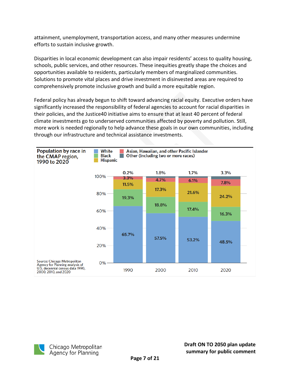attainment, unemployment, transportation access, and many other measures undermine efforts to sustain inclusive growth.

Disparities in local economic development can also impair residents' access to quality housing, schools, public services, and other resources. These inequities greatly shape the choices and opportunities available to residents, particularly members of marginalized communities. Solutions to promote vital places and drive investment in disinvested areas are required to comprehensively promote inclusive growth and build a more equitable region.

Federal policy has already begun to shift toward advancing racial equity. Executive orders have significantly increased the responsibility of federal agencies to account for racial disparities in their policies, and the Justice40 initiative aims to ensure that at least 40 percent of federal climate investments go to underserved communities affected by poverty and pollution. Still, more work is needed regionally to help advance these goals in our own communities, including through our infrastructure and technical assistance investments.



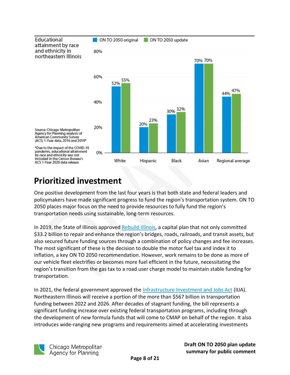

#### <span id="page-7-0"></span>**Prioritized investment**

One positive development from the last four years is that both state and federal leaders and policymakers have made significant progress to fund the region's transportation system. ON TO 2050 places major focus on the need to provide resources to fully fund the region's transportation needs using sustainable, long-term resources.

In 2019, the State of Illinois approved [Rebuild Illinois,](https://www.cmap.illinois.gov/updates/all/-/asset_publisher/UIMfSLnFfMB6/content/rebuild-illinois-implements-key-on-to-2050-transportation-recommendations-but-more-reforms-are-need-2) a capital plan that not only committed \$33.2 billion to repair and enhance the region's bridges, roads, railroads, and transit assets, but also secured future funding sources through a combination of policy changes and fee increases. The most significant of these is the decision to double the motor fuel tax and index it to inflation, a key ON TO 2050 recommendation. However, work remains to be done as more of our vehicle fleet electrifies or becomes more fuel efficient in the future, necessitating the region's transition from the gas tax to a road user charge model to maintain stable funding for transportation.

In 2021, the federal government approved the [Infrastructure Investment and Jobs Act](https://www.cmap.illinois.gov/updates/all/-/asset_publisher/UIMfSLnFfMB6/content/infrastructure-investment-jobs-act) (IIJA). Northeastern Illinois will receive a portion of the more than \$567 billion in transportation funding between 2022 and 2026. After decades of stagnant funding, the bill represents a significant funding increase over existing federal transportation programs, including through the development of new formula funds that will come to CMAP on behalf of the region. It also introduces wide-ranging new programs and requirements aimed at accelerating investments

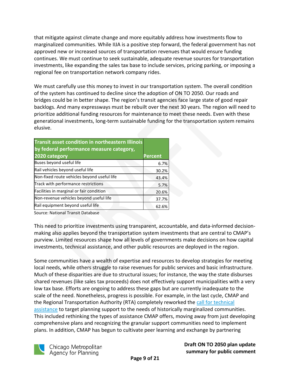that mitigate against climate change and more equitably address how investments flow to marginalized communities. While IIJA is a positive step forward, the federal government has not approved new or increased sources of transportation revenues that would ensure funding continues. We must continue to seek sustainable, adequate revenue sources for transportation investments, like expanding the sales tax base to include services, pricing parking, or imposing a regional fee on transportation network company rides.

We must carefully use this money to invest in our transportation system. The overall condition of the system has continued to decline since the adoption of ON TO 2050. Our roads and bridges could be in better shape. The region's transit agencies face large state of good repair backlogs. And many expressways must be rebuilt over the next 30 years. The region will need to prioritize additional funding resources for maintenance to meet these needs. Even with these generational investments, long-term sustainable funding for the transportation system remains elusive.

| <b>Transit asset condition in northeastern Illinois</b><br>by federal performance measure category, |                |
|-----------------------------------------------------------------------------------------------------|----------------|
| 2020 category                                                                                       | <b>Percent</b> |
| Buses beyond useful life                                                                            | 6.7%           |
| Rail vehicles beyond useful life                                                                    | 30.2%          |
| Non-fixed route vehicles beyond useful life                                                         | 43.4%          |
| Track with performance restrictions                                                                 | 5.7%           |
| Facilities in marginal or fair condition                                                            | 20.6%          |
| Non-revenue vehicles beyond useful life                                                             | 37.7%          |
| Rail equipment beyond useful life                                                                   | 62.6%          |

Source: National Transit Database

This need to prioritize investments using transparent, accountable, and data-informed decisionmaking also applies beyond the transportation system investments that are central to CMAP's purview. Limited resources shape how all levels of governments make decisions on how capital investments, technical assistance, and other public resources are deployed in the region.

Some communities have a wealth of expertise and resources to develop strategies for meeting local needs, while others struggle to raise revenues for public services and basic infrastructure. Much of these disparities are due to structural issues; for instance, the way the state disburses shared revenues (like sales tax proceeds) does not effectively support municipalities with a very low tax base. Efforts are ongoing to address these gaps but are currently inadequate to the scale of the need. Nonetheless, progress is possible. For example, in the last cycle, CMAP and the Regional Transportation Authority (RTA) completely reworked the [call for technical](https://www.cmap.illinois.gov/programs/lta/call-for-projects)  [assistance](https://www.cmap.illinois.gov/programs/lta/call-for-projects) to target planning support to the needs of historically marginalized communities. This included rethinking the types of assistance CMAP offers, moving away from just developing comprehensive plans and recognizing the granular support communities need to implement plans. In addition, CMAP has begun to cultivate peer learning and exchange by partnering



Chicago Metropolitan Agency for Planning

**Draft ON TO 2050 plan update summary for public comment**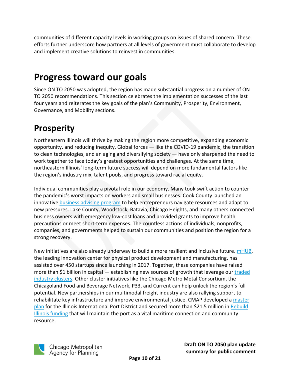communities of different capacity levels in working groups on issues of shared concern. These efforts further underscore how partners at all levels of government must collaborate to develop and implement creative solutions to reinvest in communities.

# <span id="page-9-0"></span>**Progress toward our goals**

Since ON TO 2050 was adopted, the region has made substantial progress on a number of ON TO 2050 recommendations. This section celebrates the implementation successes of the last four years and reiterates the key goals of the plan's Community, Prosperity, Environment, Governance, and Mobility sections.

#### <span id="page-9-1"></span>**Prosperity**

Northeastern Illinois will thrive by making the region more competitive, expanding economic opportunity, and reducing inequity. Global forces — like the COVID-19 pandemic, the transition to clean technologies, and an aging and diversifying society — have only sharpened the need to work together to face today's greatest opportunities and challenges. At the same time, northeastern Illinois' long-term future success will depend on more fundamental factors like the region's industry mix, talent pools, and progress toward racial equity.

Individual communities play a pivotal role in our economy. Many took swift action to counter the pandemic's worst impacts on workers and small businesses. Cook County launched an innovative **business advising [program](https://cookcountysmallbiz.org/)** to help entrepreneurs navigate resources and adapt to new pressures. Lake County, Woodstock, Batavia, Chicago Heights, and many others connected business owners with emergency low-cost loans and provided grants to improve health precautions or meet short-term expenses. The countless actions of individuals, nonprofits, companies, and governments helped to sustain our communities and position the region for a strong recovery.

New initiatives are also already underway to build a more resilient and inclusive future. [mHUB,](https://mhubchicago.com/news/2025-cleantech-economy-coalition-build-back-better-regional-challenge-phase-1-finalist) the leading innovation center for physical product development and manufacturing, has assisted over 450 startups since launching in 2017. Together, these companies have raised more than \$1 billion in capital — establishing new sources of growth that leverage our [traded](https://www.cmap.illinois.gov/programs/industry-clusters/traded-clusters) industry [clusters.](https://www.cmap.illinois.gov/programs/industry-clusters/traded-clusters) Other cluster initiatives like the Chicago Metro Metal Consortium, the Chicagoland Food and Beverage Network, P33, and Current can help unlock the region's full potential. New partnerships in our multimodal freight industry are also rallying support to rehabilitate key infrastructure and improve environmental justice. CMAP developed a [master](https://www.cmap.illinois.gov/programs/lta/iipd-master-plan) [plan](https://www.cmap.illinois.gov/programs/lta/iipd-master-plan) for the Illinois International Port District and secured more than \$21.5 million in [Rebuild](https://r20.rs6.net/tn.jsp?f=0010d3KMVHtSK2HnnHHm6YyARA5nV-E26wgR29a2-8nNAUPcMFVjnHYx6TPuG87jQ0250hQHM3vDYcMvi1t1vOw6va7mMri5ROJkiOP9D8Q5Q9-iPYe40cCy1ZazrdA-RRCN-tyCw6CmUj0wSUs_3YJZz8iHRkY9Zj7Ht65GicBzUhf-YUppRMvAn_ejVR5gWd0&c=clSjf5cCWLmf_EFcJE2Zz2lwB-2Y6w7HorZE3Eu30x7suXi1a_CaEw==&ch=8vKDyglrOKmShXuqeaK4PWrtoIkb0ACtq2P41EClNTfw7FA0A3tlag==) Illinois [funding](https://r20.rs6.net/tn.jsp?f=0010d3KMVHtSK2HnnHHm6YyARA5nV-E26wgR29a2-8nNAUPcMFVjnHYx6TPuG87jQ0250hQHM3vDYcMvi1t1vOw6va7mMri5ROJkiOP9D8Q5Q9-iPYe40cCy1ZazrdA-RRCN-tyCw6CmUj0wSUs_3YJZz8iHRkY9Zj7Ht65GicBzUhf-YUppRMvAn_ejVR5gWd0&c=clSjf5cCWLmf_EFcJE2Zz2lwB-2Y6w7HorZE3Eu30x7suXi1a_CaEw==&ch=8vKDyglrOKmShXuqeaK4PWrtoIkb0ACtq2P41EClNTfw7FA0A3tlag==) that will maintain the port as a vital maritime connection and community resource.

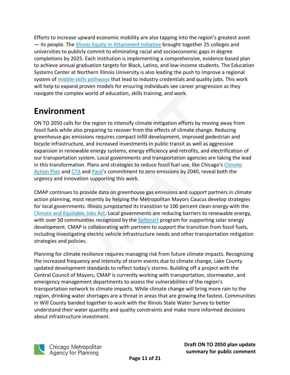Efforts to increase upward economic mobility are also tapping into the region's greatest asset — its people. The Illinois Equity in [Attainment](https://partnershipfcc.org/college-and-university-partnerships/illinois-equity-in-attainment-initiative/) Initiative brought together 25 colleges and universities to publicly commit to eliminating racial and socioeconomic gaps in degree completions by 2025. Each institution is implementing a comprehensive, evidence-based plan to achieve annual graduation targets for Black, Latino, and low-income students. The Education Systems Center at Northern Illinois University is also leading the push to improve a regional system of [middle-skills](https://edsystemsniu.org/middle-skills-pathways-in-chicago/) pathways that lead to industry credentials and quality jobs. This work will help to expand proven models for ensuring individuals see career progression as they navigate the complex world of education, skills training, and work.

# <span id="page-10-0"></span>**Environment**

ON TO 2050 calls for the region to intensify climate mitigation efforts by moving away from fossil fuels while also preparing to recover from the effects of climate change. Reducing greenhouse gas emissions requires compact infill development, improved pedestrian and bicycle infrastructure, and increased investments in public transit as well as aggressive expansion in renewable energy systems, energy efficiency and retrofits, and electrification of our transportation system. Local governments and transportation agencies are taking the lead in this transformation. Plans and strategies to reduce fossil fuel use, like Chicago's [Climate](https://www.chicago.gov/city/en/sites/climate-action-plan/home.html) [Action](https://www.chicago.gov/city/en/sites/climate-action-plan/home.html) Plan and [CTA](https://www.transitchicago.com/environment/) and [Pace](https://www.pacebus.com/driving-innovation)'s commitment to zero emissions by 2040, reveal both the urgency and innovation supporting this work.

CMAP continues to provide data on greenhouse gas emissions and support partners in climate action planning, most recently by helping the Metropolitan Mayors Caucus develop strategies for local governments. Illinois jumpstarted its transition to 100 percent clean energy with the Climate and [Equitable](https://www2.illinois.gov/epa/topics/ceja/Pages/default.aspx) Jobs Act. Local governments are reducing barriers to renewable energy, with over 50 communities recognized by the [SolSmart](https://mayorscaucus.org/solsmart/) program for supporting solar energy development. CMAP is collaborating with partners to support the transition from fossil fuels, including investigating electric vehicle infrastructure needs and other transportation mitigation strategies and policies.

Planning for climate resilience requires managing risk from future climate impacts. Recognizing the increased frequency and intensity of storm events due to climate change, Lake County updated development standards to reflect today's storms. Building off a project with the Central Council of Mayors, CMAP is currently working with transportation, stormwater, and emergency management departments to assess the vulnerabilities of the region's transportation network to climate impacts. While climate change will bring more rain to the region, drinking water shortages are a threat in areas that are growing the fastest. Communities in Will County banded together to work with the Illinois State Water Survey to better understand their water quantity and quality constraints and make more informed decisions about infrastructure investment.

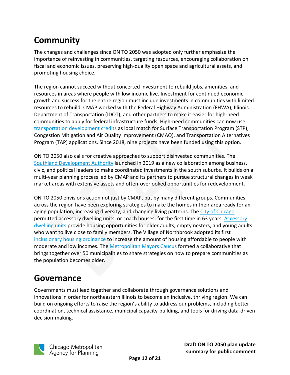# <span id="page-11-0"></span>**Community**

The changes and challenges since ON TO 2050 was adopted only further emphasize the importance of reinvesting in communities, targeting resources, encouraging collaboration on fiscal and economic issues, preserving high-quality open space and agricultural assets, and promoting housing choice.

The region cannot succeed without concerted investment to rebuild jobs, amenities, and resources in areas where people with low income live. Investment for continued economic growth and success for the entire region must include investments in communities with limited resources to rebuild. CMAP worked with the Federal Highway Administration (FHWA), Illinois Department of Transportation (IDOT), and other partners to make it easier for high-need communities to apply for federal infrastructure funds. High-need communities can now use [transportation](https://www.cmap.illinois.gov/documents/10180/931110/Policy+for+the+use+of+TDCH+for+STP+funded+projects+-+PSC+and+IDOT+approved.pdf/7a997ea1-9379-8583-2431-43b6b736a5a6) development credits as local match for Surface Transportation Program (STP), Congestion Mitigation and Air Quality Improvement (CMAQ), and Transportation Alternatives Program (TAP) applications. Since 2018, nine projects have been funded using this option.

ON TO 2050 also calls for creative approaches to support disinvested communities. The [Southland Development Authority](https://www.southlanddevelopment.org/) launched in 2019 as a new collaboration among business, civic, and political leaders to make coordinated investments in the south suburbs. It builds on a multi-year planning process led by CMAP and its partners to pursue structural changes in weak market areas with extensive assets and often-overlooked opportunities for redevelopment.

ON TO 2050 envisions action not just by CMAP, but by many different groups. Communities across the region have been exploring strategies to make the homes in their area ready for an aging population, increasing diversity, and changing living patterns. The City of [Chicago](https://www.chicago.gov/city/en/depts/doh/provdrs/homeowners/svcs/adu-ordinance.html) permitted accessory dwelling units, or coach houses, for the first time in 63 years. Accessory [dwelling units](https://www.cmap.illinois.gov/updates/all/-/asset_publisher/UIMfSLnFfMB6/content/communities-accessory-dwelling-units) provide housing opportunities for older adults, empty nesters, and young adults who want to live close to family members. The Village of Northbrook adopted its first [inclusionary](https://www.northbrook.il.us/996/Affordable-Housing) housing ordinance to increase the amount of housing affordable to people with moderate and low incomes. The [Metropolitan](https://mayorscaucus.org/initiatives/aging-in-community/age-friendly-communities-collaborative/) Mayors Caucus formed a collaborative that brings together over 50 municipalities to share strategies on how to prepare communities as the population becomes older.

#### <span id="page-11-1"></span>**Governance**

Governments must lead together and collaborate through governance solutions and innovations in order for northeastern Illinois to become an inclusive, thriving region. We can build on ongoing efforts to raise the region's ability to address our problems, including better coordination, technical assistance, municipal capacity-building, and tools for driving data-driven decision-making.

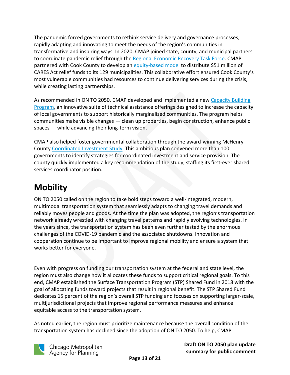The pandemic forced governments to rethink service delivery and governance processes, rapidly adapting and innovating to meet the needs of the region's communities in transformative and inspiring ways. In 2020, CMAP joined state, county, and municipal partners to coordinate pandemic relief through the Regional [Economic Recovery](https://www.cmap.illinois.gov/updates/all/-/asset_publisher/UIMfSLnFfMB6/content/recovery-regional-task-force) Task Force. CMAP partnered with Cook County to develop an [equity-based](https://www.cmap.illinois.gov/updates/all/-/asset_publisher/UIMfSLnFfMB6/content/cmap-s-cohorts-tool-can-help-communities-apply-equity-lens-to-funding-decisions) model to distribute \$51 million of CARES Act relief funds to its 129 municipalities. This collaborative effort ensured Cook County's most vulnerable communities had resources to continue delivering services during the crisis, while creating lasting partnerships.

As recommended in ON TO 2050, CMAP developed and implemented a new [Capacity Building](https://www.cmap.illinois.gov/programs/lta/capacity-building-program#:~:text=The%20Capacity%20Building%20Program%20is,2050%2C%20the%20region)  [Program,](https://www.cmap.illinois.gov/programs/lta/capacity-building-program#:~:text=The%20Capacity%20Building%20Program%20is,2050%2C%20the%20region) an innovative suite of technical assistance offerings designed to increase the capacity of local governments to support historically marginalized communities. The program helps communities make visible changes — clean up properties, begin construction, enhance public spaces — while advancing their long-term vision.

CMAP also helped foster governmental collaboration through the award-winning McHenry County [Coordinated](https://www.cmap.illinois.gov/programs/lta/mchenry-coordinated-investment) Investment Study. This ambitious plan convened more than 100 governments to identify strategies for coordinated investment and service provision. The county quickly implemented a key recommendation of the study, staffing its first-ever shared services coordinator position.

#### <span id="page-12-0"></span>**Mobility**

ON TO 2050 called on the region to take bold steps toward a well-integrated, modern, multimodal transportation system that seamlessly adapts to changing travel demands and reliably moves people and goods. At the time the plan was adopted, the region's transportation network already wrestled with changing travel patterns and rapidly evolving technologies. In the years since, the transportation system has been even further tested by the enormous challenges of the COVID-19 pandemic and the associated shutdowns. Innovation and cooperation continue to be important to improve regional mobility and ensure a system that works better for everyone.

Even with progress on funding our transportation system at the federal and state level, the region must also change how it allocates these funds to support critical regional goals. To this end, CMAP established the Surface Transportation Program (STP) Shared Fund in 2018 with the goal of allocating funds toward projects that result in regional benefit. The STP Shared Fund dedicates 15 percent of the region's overall STP funding and focuses on supporting larger-scale, multijurisdictional projects that improve regional performance measures and enhance equitable access to the transportation system.

As noted earlier, the region must prioritize maintenance because the overall condition of the transportation system has declined since the adoption of ON TO 2050. To help, CMAP



Chicago Metropolitan Agency for Planning

**Draft ON TO 2050 plan update summary for public comment**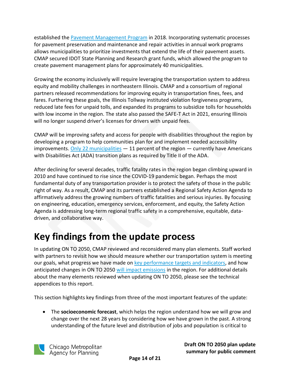established the [Pavement Management Program](https://www.cmap.illinois.gov/mobility/roads/pavement-management) in 2018. Incorporating systematic processes for pavement preservation and maintenance and repair activities in annual work programs allows municipalities to prioritize investments that extend the life of their pavement assets. CMAP secured IDOT State Planning and Research grant funds, which allowed the program to create pavement management plans for approximately 40 municipalities.

Growing the economy inclusively will require leveraging the transportation system to address equity and mobility challenges in northeastern Illinois. CMAP and a consortium of regional partners released recommendations for improving equity in transportation fines, fees, and fares. Furthering these goals, the Illinois Tollway instituted violation forgiveness programs, reduced late fees for unpaid tolls, and expanded its programs to subsidize tolls for households with low income in the region. The state also passed the SAFE-T Act in 2021, ensuring Illinois will no longer suspend driver's licenses for drivers with unpaid fees.

CMAP will be improving safety and access for people with disabilities throughout the region by developing a program to help communities plan for and implement needed accessibility improvements. [Only 22 municipalities](https://www.metroplanning.org/uploads/cms/documents/ensemblemedia_mpc_adatransitionplanreport_compliant.pdf)  $-11$  percent of the region  $-$  currently have Americans with Disabilities Act (ADA) transition plans as required by Title II of the ADA.

After declining for several decades, traffic fatality rates in the region began climbing upward in 2010 and have continued to rise since the COVID-19 pandemic began. Perhaps the most fundamental duty of any transportation provider is to protect the safety of those in the public right of way. As a result, CMAP and its partners established a Regional Safety Action Agenda to affirmatively address the growing numbers of traffic fatalities and serious injuries. By focusing on engineering, education, emergency services, enforcement, and equity, the Safety Action Agenda is addressing long-term regional traffic safety in a comprehensive, equitable, datadriven, and collaborative way.

# <span id="page-13-0"></span>**Key findings from the update process**

In updating ON TO 2050, CMAP reviewed and reconsidered many plan elements. Staff worked with partners to revisit how we should measure whether our transportation system is meeting our goals, what progress we have made on [key performance targets and indicators,](https://www.cmap.illinois.gov/documents/10180/1439048/ON+TO+2050+Update+Indicators+Appendix.pdf/) and how anticipated changes in ON TO 2050 will [impact emissions](https://www.cmap.illinois.gov/documents/10180/1439048/ON+TO+2050+Update+Air+Quality+Conformity+Analysis+Appendix.pdf/) in the region. For additional details about the many elements reviewed when updating ON TO 2050, please see the technical appendices to this report.

This section highlights key findings from three of the most important features of the update:

• The **socioeconomic forecast**, which helps the region understand how we will grow and change over the next 28 years by considering how we have grown in the past. A strong understanding of the future level and distribution of jobs and population is critical to

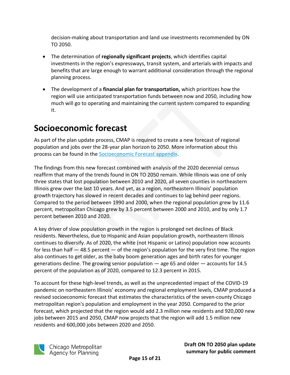decision-making about transportation and land use investments recommended by ON TO 2050.

- The determination of **regionally significant projects**, which identifies capital investments in the region's expressways, transit system, and arterials with impacts and benefits that are large enough to warrant additional consideration through the regional planning process.
- The development of a **financial plan for transportation,** which prioritizes how the region will use anticipated transportation funds between now and 2050, including how much will go to operating and maintaining the current system compared to expanding it.

#### <span id="page-14-0"></span>**Socioeconomic forecast**

As part of the plan update process, CMAP is required to create a new forecast of regional population and jobs over the 28-year plan horizon to 2050. More information about this process can be found in the [Socioeconomic Forecast appendix.](https://www.cmap.illinois.gov/documents/10180/1439048/ON+TO+2050+Update+Socioeconomic+Forecast+Appendix.pdf/)

The findings from this new forecast combined with analysis of the 2020 decennial census reaffirm that many of the trends found in ON TO 2050 remain. While Illinois was one of only three states that lost population between 2010 and 2020, all seven counties in northeastern Illinois grew over the last 10 years. And yet, as a region, northeastern Illinois' population growth trajectory has slowed in recent decades and continues to lag behind peer regions. Compared to the period between 1990 and 2000, when the regional population grew by 11.6 percent, metropolitan Chicago grew by 3.5 percent between 2000 and 2010, and by only 1.7 percent between 2010 and 2020.

A key driver of slow population growth in the region is prolonged net declines of Black residents. Nevertheless, due to Hispanic and Asian population growth, northeastern Illinois continues to diversify. As of 2020, the white (not Hispanic or Latino) population now accounts for less than half — 48.5 percent — of the region's population for the very first time. The region also continues to get older, as the baby boom generation ages and birth rates for younger generations decline. The growing senior population — age 65 and older — accounts for 14.5 percent of the population as of 2020, compared to 12.3 percent in 2015.

To account for these high-level trends, as well as the unprecedented impact of the COVID-19 pandemic on northeastern Illinois' economy and regional employment levels, CMAP produced a revised socioeconomic forecast that estimates the characteristics of the seven-county Chicago metropolitan region's population and employment in the year 2050. Compared to the prior forecast, which projected that the region would add 2.3 million new residents and 920,000 new jobs between 2015 and 2050, CMAP now projects that the region will add 1.5 million new residents and 600,000 jobs between 2020 and 2050.

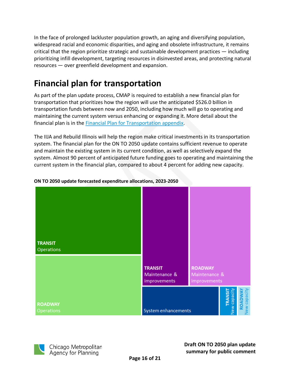In the face of prolonged lackluster population growth, an aging and diversifying population, widespread racial and economic disparities, and aging and obsolete infrastructure, it remains critical that the region prioritize strategic and sustainable development practices — including prioritizing infill development, targeting resources in disinvested areas, and protecting natural resources — over greenfield development and expansion.

# <span id="page-15-0"></span>**Financial plan for transportation**

As part of the plan update process, CMAP is required to establish a new financial plan for transportation that prioritizes how the region will use the anticipated \$526.0 billion in transportation funds between now and 2050, including how much will go to operating and maintaining the current system versus enhancing or expanding it. More detail about the financial plan is in the [Financial Plan for Transportation appendix.](https://www.cmap.illinois.gov/documents/10180/1439048/ON+TO+2050+Update+Financial+Plan+for+Transportation+Appendix.pdf/)

The IIJA and Rebuild Illinois will help the region make critical investments in its transportation system. The financial plan for the ON TO 2050 update contains sufficient revenue to operate and maintain the existing system in its current condition, as well as selectively expand the system. Almost 90 percent of anticipated future funding goes to operating and maintaining the current system in the financial plan, compared to about 4 percent for adding new capacity.



#### **ON TO 2050 update forecasted expenditure allocations, 2023-2050**

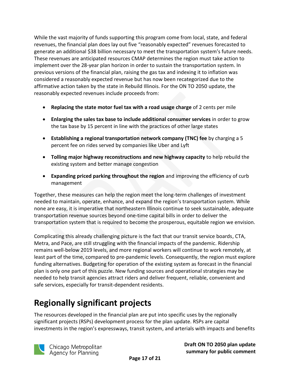While the vast majority of funds supporting this program come from local, state, and federal revenues, the financial plan does lay out five "reasonably expected" revenues forecasted to generate an additional \$38 billion necessary to meet the transportation system's future needs. These revenues are anticipated resources CMAP determines the region must take action to implement over the 28-year plan horizon in order to sustain the transportation system. In previous versions of the financial plan, raising the gas tax and indexing it to inflation was considered a reasonably expected revenue but has now been recategorized due to the affirmative action taken by the state in Rebuild Illinois. For the ON TO 2050 update, the reasonably expected revenues include proceeds from:

- **Replacing the state motor fuel tax with a road usage charge** of 2 cents per mile
- **Enlarging the sales tax base to include additional consumer services** in order to grow the tax base by 15 percent in line with the practices of other large states
- **Establishing a regional transportation network company (TNC) fee** by charging a 5 percent fee on rides served by companies like Uber and Lyft
- **Tolling major highway reconstructions and new highway capacity** to help rebuild the existing system and better manage congestion
- **Expanding priced parking throughout the region** and improving the efficiency of curb management

Together, these measures can help the region meet the long-term challenges of investment needed to maintain, operate, enhance, and expand the region's transportation system. While none are easy, it is imperative that northeastern Illinois continue to seek sustainable, adequate transportation revenue sources beyond one-time capital bills in order to deliver the transportation system that is required to become the prosperous, equitable region we envision.

Complicating this already challenging picture is the fact that our transit service boards, CTA, Metra, and Pace, are still struggling with the financial impacts of the pandemic. Ridership remains well-below 2019 levels, and more regional workers will continue to work remotely, at least part of the time, compared to pre-pandemic levels. Consequently, the region must explore funding alternatives. Budgeting for operation of the existing system as forecast in the financial plan is only one part of this puzzle. New funding sources and operational strategies may be needed to help transit agencies attract riders and deliver frequent, reliable, convenient and safe services, especially for transit-dependent residents.

# <span id="page-16-0"></span>**Regionally significant projects**

The resources developed in the financial plan are put into specific uses by the regionally significant projects (RSPs) development process for the plan update. RSPs are capital investments in the region's expressways, transit system, and arterials with impacts and benefits

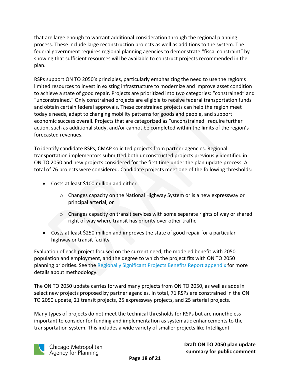that are large enough to warrant additional consideration through the regional planning process. These include large reconstruction projects as well as additions to the system. The federal government requires regional planning agencies to demonstrate "fiscal constraint" by showing that sufficient resources will be available to construct projects recommended in the plan.

RSPs support ON TO 2050's principles, particularly emphasizing the need to use the region's limited resources to invest in existing infrastructure to modernize and improve asset condition to achieve a state of good repair. Projects are prioritized into two categories: "constrained" and "unconstrained." Only constrained projects are eligible to receive federal transportation funds and obtain certain federal approvals. These constrained projects can help the region meet today's needs, adapt to changing mobility patterns for goods and people, and support economic success overall. Projects that are categorized as "unconstrained" require further action, such as additional study, and/or cannot be completed within the limits of the region's forecasted revenues.

To identify candidate RSPs, CMAP solicited projects from partner agencies. Regional transportation implementors submitted both unconstructed projects previously identified in ON TO 2050 and new projects considered for the first time under the plan update process. A total of 76 projects were considered. Candidate projects meet one of the following thresholds:

- Costs at least \$100 million and either
	- o Changes capacity on the National Highway System or is a new expressway or principal arterial, or
	- $\circ$  Changes capacity on transit services with some separate rights of way or shared right of way where transit has priority over other traffic
- Costs at least \$250 million and improves the state of good repair for a particular highway or transit facility

Evaluation of each project focused on the current need, the modeled benefit with 2050 population and employment, and the degree to which the project fits with ON TO 2050 planning priorities. See the [Regionally Significant Projects](https://www.cmap.illinois.gov/documents/10180/1439048/ON+TO+2050+Update+Regionally+Significant+Projects+Benefit+Report+Appendix.pdf/) Benefits Report appendix for more details about methodology.

The ON TO 2050 update carries forward many projects from ON TO 2050, as well as adds in select new projects proposed by partner agencies. In total, 71 RSPs are constrained in the ON TO 2050 update, 21 transit projects, 25 expressway projects, and 25 arterial projects.

Many types of projects do not meet the technical thresholds for RSPs but are nonetheless important to consider for funding and implementation as systematic enhancements to the transportation system. This includes a wide variety of smaller projects like Intelligent

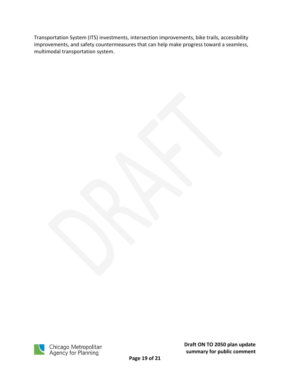Transportation System (ITS) investments, intersection improvements, bike trails, accessibility improvements, and safety countermeasures that can help make progress toward a seamless, multimodal transportation system.

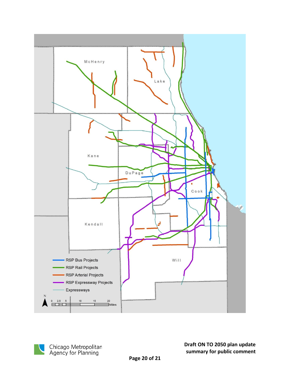